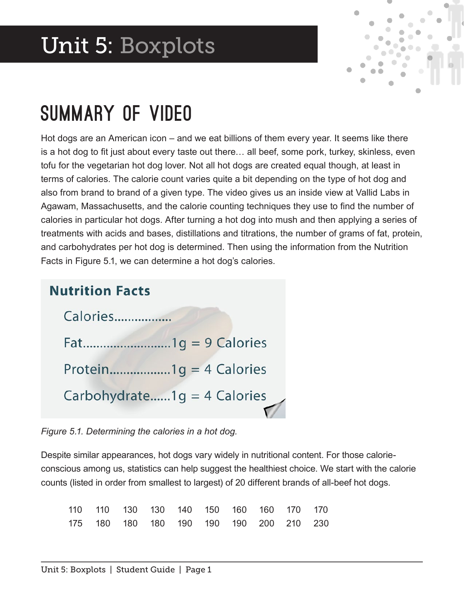## Unit 5: Boxplots



### Summary of Video

Hot dogs are an American icon – and we eat billions of them every year. It seems like there is a hot dog to fit just about every taste out there... all beef, some pork, turkey, skinless, even tofu for the vegetarian hot dog lover. Not all hot dogs are created equal though, at least in terms of calories. The calorie count varies quite a bit depending on the type of hot dog and also from brand to brand of a given type. The video gives us an inside view at Vallid Labs in Agawam, Massachusetts, and the calorie counting techniques they use to fnd the number of calories in particular hot dogs. After turning a hot dog into mush and then applying a series of treatments with acids and bases, distillations and titrations, the number of grams of fat, protein, and carbohydrates per hot dog is determined. Then using the information from the Nutrition Facts in Figure 5.1, we can determine a hot dog's calories.

| <b>Nutrition Facts</b> |                             |
|------------------------|-----------------------------|
| Calories               |                             |
|                        |                             |
|                        | Protein1g = 4 Calories      |
|                        | Carbohydrate1g = 4 Calories |

*Figure 5.1. Determining the calories in a hot dog.*

Despite similar appearances, hot dogs vary widely in nutritional content. For those calorieconscious among us, statistics can help suggest the healthiest choice. We start with the calorie counts (listed in order from smallest to largest) of 20 different brands of all-beef hot dogs.

|  |  | 110 110 130 130 140 150 160 160 170 170 |  |  |
|--|--|-----------------------------------------|--|--|
|  |  | 175 180 180 180 190 190 190 200 210 230 |  |  |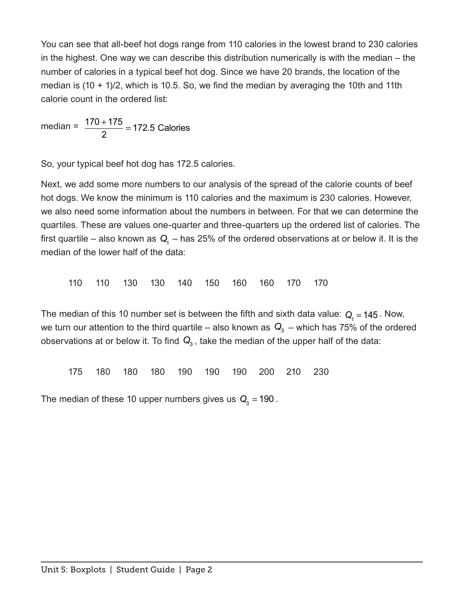You can see that all-beef hot dogs range from 110 calories in the lowest brand to 230 calories in the highest. One way we can describe this distribution numerically is with the median – the number of calories in a typical beef hot dog. Since we have 20 brands, the location of the median is  $(10 + 1)/2$ , which is 10.5. So, we find the median by averaging the 10th and 11th calorie count in the ordered list:

median =  $\frac{170 + 175}{0}$  = 2 172.5 Calories

So, your typical beef hot dog has 172.5 calories.

Next, we add some more numbers to our analysis of the spread of the calorie counts of beef hot dogs. We know the minimum is 110 calories and the maximum is 230 calories. However, we also need some information about the numbers in between. For that we can determine the quartiles. These are values one-quarter and three-quarters up the ordered list of calories. The first quartile – also known as  $Q_1$  – has 25% of the ordered observations at or below it. It is the median of the lower half of the data:

110 110 130 130 140 150 160 160 170 170

The median of this 10 number set is between the fifth and sixth data value:  $Q_1 = 145$ . Now, we turn our attention to the third quartile – also known as  $\mathbf{Q}_3$  – which has 75% of the ordered observations at or below it. To find  $Q_3$ , take the median of the upper half of the data:

175 180 180 180 190 190 190 200 210 230

The median of these 10 upper numbers gives us  $Q_3 = 190$ .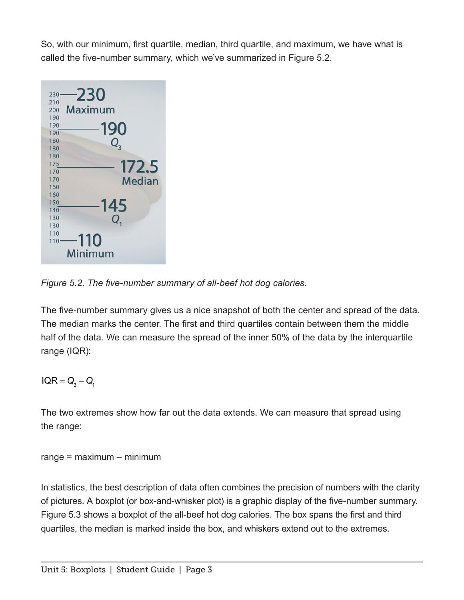So, with our minimum, frst quartile, median, third quartile, and maximum, we have what is called the five-number summary, which we've summarized in Figure 5.2.



*Figure 5.2. The fve-number summary of all-beef hot dog calories.*

The five-number summary gives us a nice snapshot of both the center and spread of the data. The median marks the center. The first and third quartiles contain between them the middle half of the data. We can measure the spread of the inner 50% of the data by the interquartile range (IQR):

 $IQR = Q_3 - Q_1$ 

The two extremes show how far out the data extends. We can measure that spread using the range:

range = maximum – minimum

In statistics, the best description of data often combines the precision of numbers with the clarity of pictures. A boxplot (or box-and-whisker plot) is a graphic display of the fve-number summary. Figure 5.3 shows a boxplot of the all-beef hot dog calories. The box spans the first and third quartiles, the median is marked inside the box, and whiskers extend out to the extremes.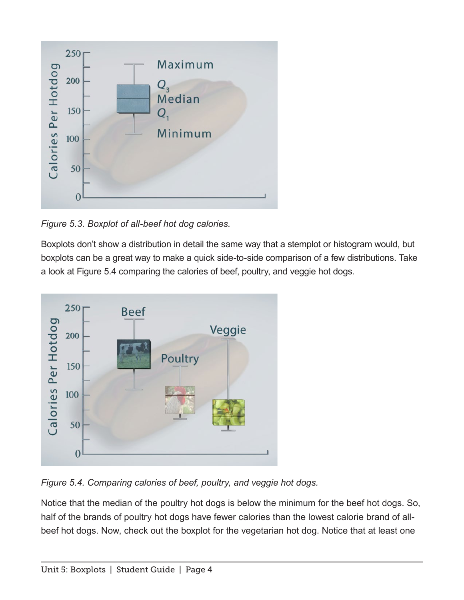

*Figure 5.3. Boxplot of all-beef hot dog calories.*

Boxplots don't show a distribution in detail the same way that a stemplot or histogram would, but boxplots can be a great way to make a quick side-to-side comparison of a few distributions. Take a look at Figure 5.4 comparing the calories of beef, poultry, and veggie hot dogs.



*Figure 5.4. Comparing calories of beef, poultry, and veggie hot dogs.*

Notice that the median of the poultry hot dogs is below the minimum for the beef hot dogs. So, half of the brands of poultry hot dogs have fewer calories than the lowest calorie brand of allbeef hot dogs. Now, check out the boxplot for the vegetarian hot dog. Notice that at least one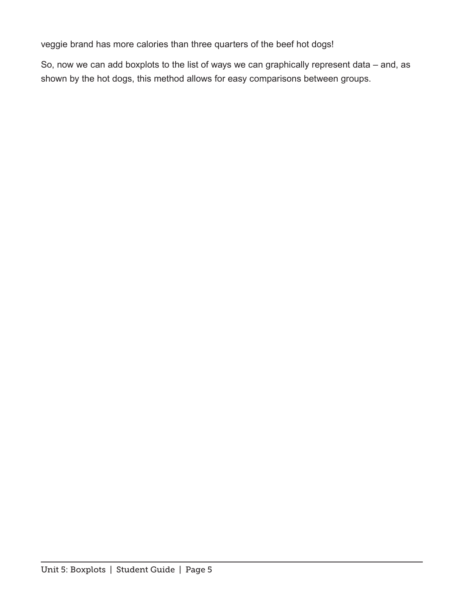veggie brand has more calories than three quarters of the beef hot dogs!

So, now we can add boxplots to the list of ways we can graphically represent data – and, as shown by the hot dogs, this method allows for easy comparisons between groups.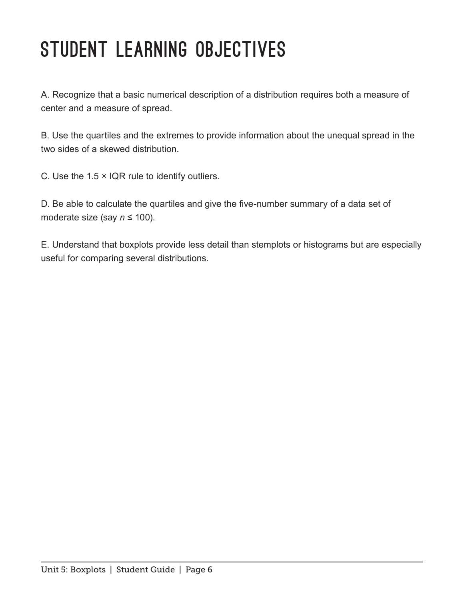# STUDENT LEARNING OBJECTIVES

A. Recognize that a basic numerical description of a distribution requires both a measure of center and a measure of spread.

B. Use the quartiles and the extremes to provide information about the unequal spread in the two sides of a skewed distribution.

C. Use the  $1.5 \times$  IQR rule to identify outliers.

D. Be able to calculate the quartiles and give the five-number summary of a data set of moderate size (say *n* ≤ 100).

E. Understand that boxplots provide less detail than stemplots or histograms but are especially useful for comparing several distributions.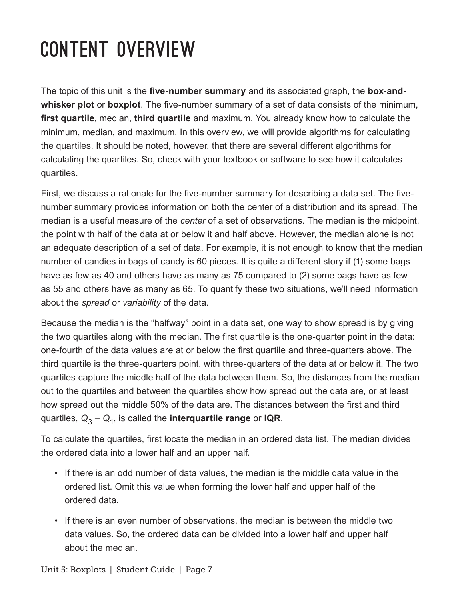# Content Overview

The topic of this unit is the **five-number summary** and its associated graph, the **box-and**whisker plot or boxplot. The five-number summary of a set of data consists of the minimum, **frst quartile**, median, **third quartile** and maximum. You already know how to calculate the minimum, median, and maximum. In this overview, we will provide algorithms for calculating the quartiles. It should be noted, however, that there are several different algorithms for calculating the quartiles. So, check with your textbook or software to see how it calculates quartiles.

First, we discuss a rationale for the five-number summary for describing a data set. The fivenumber summary provides information on both the center of a distribution and its spread. The median is a useful measure of the *center* of a set of observations. The median is the midpoint, the point with half of the data at or below it and half above. However, the median alone is not an adequate description of a set of data. For example, it is not enough to know that the median number of candies in bags of candy is 60 pieces. It is quite a different story if (1) some bags have as few as 40 and others have as many as 75 compared to (2) some bags have as few as 55 and others have as many as 65. To quantify these two situations, we'll need information about the *spread* or *variability* of the data.

Because the median is the "halfway" point in a data set, one way to show spread is by giving the two quartiles along with the median. The first quartile is the one-quarter point in the data: one-fourth of the data values are at or below the frst quartile and three-quarters above. The third quartile is the three-quarters point, with three-quarters of the data at or below it. The two quartiles capture the middle half of the data between them. So, the distances from the median out to the quartiles and between the quartiles show how spread out the data are, or at least how spread out the middle 50% of the data are. The distances between the first and third quartiles,  $Q_3 - Q_1$ , is called the **interquartile range** or **IQR**.

To calculate the quartiles, frst locate the median in an ordered data list. The median divides the ordered data into a lower half and an upper half.

- If there is an odd number of data values, the median is the middle data value in the ordered list. Omit this value when forming the lower half and upper half of the ordered data.
- If there is an even number of observations, the median is between the middle two data values. So, the ordered data can be divided into a lower half and upper half about the median.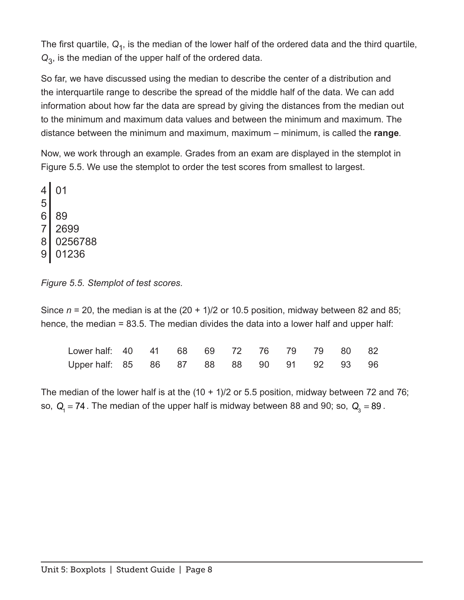The first quartile,  $Q_1$ , is the median of the lower half of the ordered data and the third quartile, *Q*3, is the median of the upper half of the ordered data.

So far, we have discussed using the median to describe the center of a distribution and the interquartile range to describe the spread of the middle half of the data. We can add information about how far the data are spread by giving the distances from the median out to the minimum and maximum data values and between the minimum and maximum. The distance between the minimum and maximum, maximum – minimum, is called the **range**.

Now, we work through an example. Grades from an exam are displayed in the stemplot in Figure 5.5. We use the stemplot to order the test scores from smallest to largest.

*Figure 5.5. Stemplot of test scores.*

Since *n* = 20, the median is at the (20 + 1)/2 or 10.5 position, midway between 82 and 85; hence, the median = 83.5. The median divides the data into a lower half and upper half:

| Lower half: 40  41  68  69  72  76  79  79  80  82 |  |  |  |  |  |
|----------------------------------------------------|--|--|--|--|--|
| Upper half: 85 86 87 88 88 90 91 92 93 96          |  |  |  |  |  |

The median of the lower half is at the (10 + 1)/2 or 5.5 position, midway between 72 and 76; so,  $Q_1 = 74$ . The median of the upper half is midway between 88 and 90; so,  $Q_3 = 89$ .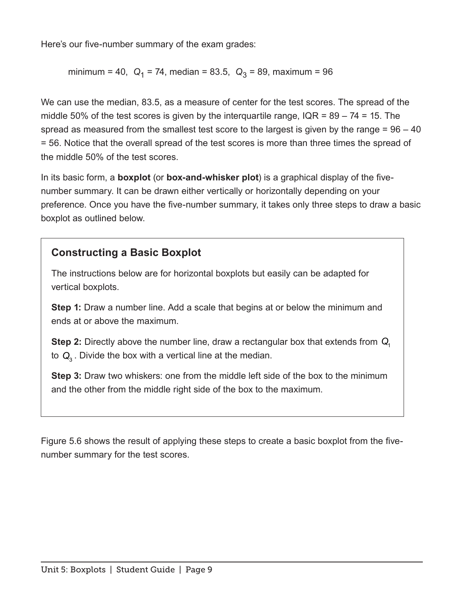Here's our five-number summary of the exam grades:

minimum = 40,  $Q_1$  = 74, median = 83.5,  $Q_3$  = 89, maximum = 96

We can use the median, 83.5, as a measure of center for the test scores. The spread of the middle 50% of the test scores is given by the interquartile range,  $IQR = 89 - 74 = 15$ . The spread as measured from the smallest test score to the largest is given by the range  $= 96 - 40$ = 56. Notice that the overall spread of the test scores is more than three times the spread of the middle 50% of the test scores.

In its basic form, a **boxplot** (or **box-and-whisker plot**) is a graphical display of the fvenumber summary. It can be drawn either vertically or horizontally depending on your preference. Once you have the five-number summary, it takes only three steps to draw a basic boxplot as outlined below.

#### **Constructing a Basic Boxplot**

The instructions below are for horizontal boxplots but easily can be adapted for vertical boxplots.

**Step 1:** Draw a number line. Add a scale that begins at or below the minimum and ends at or above the maximum.

**Step 2:** Directly above the number line, draw a rectangular box that extends from *Q*<sup>1</sup> to  $Q_3$ . Divide the box with a vertical line at the median.

**Step 3:** Draw two whiskers: one from the middle left side of the box to the minimum and the other from the middle right side of the box to the maximum.

Figure 5.6 shows the result of applying these steps to create a basic boxplot from the fvenumber summary for the test scores.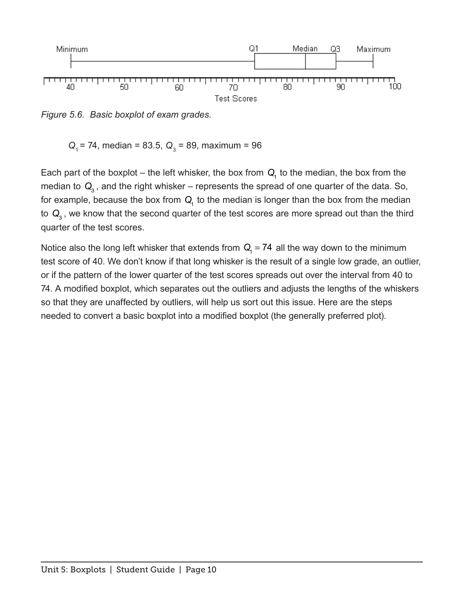

*Figure 5.6. Basic boxplot of exam grades.*

 $Q_1$  = 74, median = 83.5,  $Q_3$  = 89, maximum = 96

Each part of the boxplot – the left whisker, the box from  $Q_1$  to the median, the box from the median to  $Q_3$ , and the right whisker – represents the spread of one quarter of the data. So, for example, because the box from  $Q<sub>1</sub>$  to the median is longer than the box from the median to Q<sub>3</sub>, we know that the second quarter of the test scores are more spread out than the third quarter of the test scores.

Notice also the long left whisker that extends from  $Q_1 = 74$  all the way down to the minimum test score of 40. We don't know if that long whisker is the result of a single low grade, an outlier, or if the pattern of the lower quarter of the test scores spreads out over the interval from 40 to 74. A modifed boxplot, which separates out the outliers and adjusts the lengths of the whiskers so that they are unaffected by outliers, will help us sort out this issue. Here are the steps needed to convert a basic boxplot into a modifed boxplot (the generally preferred plot).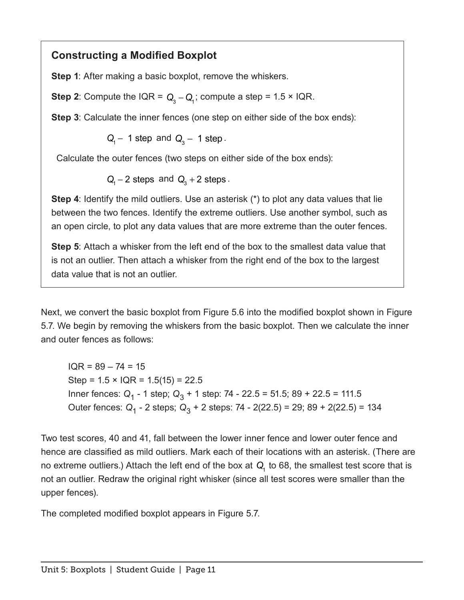#### **Constructing a Modifed Boxplot**

**Step 1**: After making a basic boxplot, remove the whiskers.

**Step 2**: Compute the IQR =  $Q_3 - Q_1$ ; compute a step = 1.5 × IQR.

**Step 3**: Calculate the inner fences (one step on either side of the box ends):

*Q*<sub>1</sub> − 1 step and *Q*<sub>2</sub> − 1 step 3

Calculate the outer fences (two steps on either side of the box ends):

 $Q_1 - 2$  steps and  $Q_3 + 2$  steps .

**Step 4**: Identify the mild outliers. Use an asterisk (\*) to plot any data values that lie between the two fences. Identify the extreme outliers. Use another symbol, such as an open circle, to plot any data values that are more extreme than the outer fences.

**Step 5**: Attach a whisker from the left end of the box to the smallest data value that is not an outlier. Then attach a whisker from the right end of the box to the largest data value that is not an outlier.

Next, we convert the basic boxplot from Figure 5.6 into the modifed boxplot shown in Figure 5.7. We begin by removing the whiskers from the basic boxplot. Then we calculate the inner and outer fences as follows:

 $IOR = 89 - 74 = 15$ Step =  $1.5 \times$  IQR =  $1.5(15)$  = 22.5 Inner fences: Q<sub>1</sub> - 1 step; Q<sub>3</sub> + 1 step: 74 - 22.5 = 51.5; 89 + 22.5 = 111.5 Outer fences: *Q*1 - 2 steps; *Q*3 + 2 steps: 74 - 2(22.5) = 29; 89 + 2(22.5) = 134

Two test scores, 40 and 41, fall between the lower inner fence and lower outer fence and hence are classifed as mild outliers. Mark each of their locations with an asterisk. (There are no extreme outliers.) Attach the left end of the box at *Q*1 to 68, the smallest test score that is not an outlier. Redraw the original right whisker (since all test scores were smaller than the upper fences).

The completed modifed boxplot appears in Figure 5.7.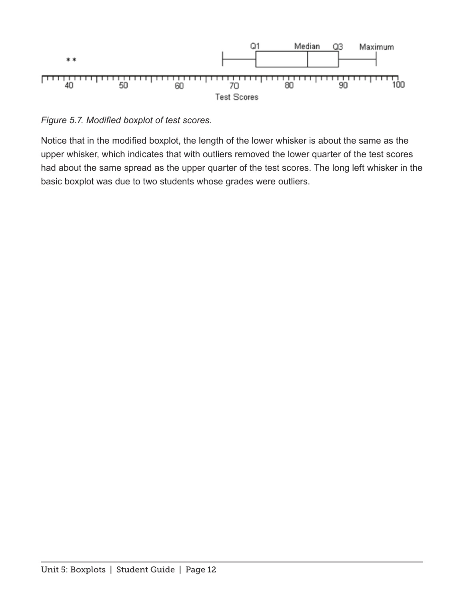

*Figure 5.7. Modifed boxplot of test scores.*

Notice that in the modifed boxplot, the length of the lower whisker is about the same as the upper whisker, which indicates that with outliers removed the lower quarter of the test scores had about the same spread as the upper quarter of the test scores. The long left whisker in the basic boxplot was due to two students whose grades were outliers.